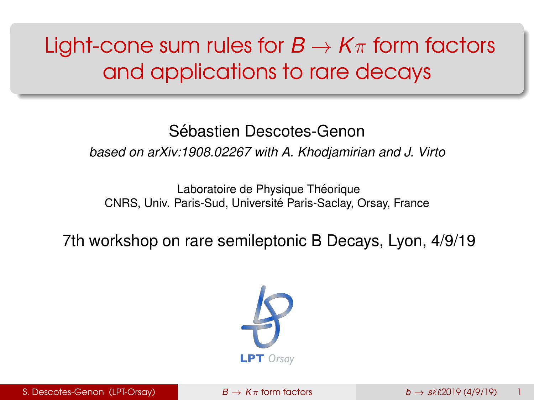# <span id="page-0-0"></span>Light-cone sum rules for  $B \to K\pi$  form factors and applications to rare decays

#### Sébastien Descotes-Genon

*based on arXiv:1908.02267 with A. Khodjamirian and J. Virto*

Laboratoire de Physique Théorique CNRS, Univ. Paris-Sud, Université Paris-Saclay, Orsay, France

7th workshop on rare semileptonic B Decays, Lyon, 4/9/19

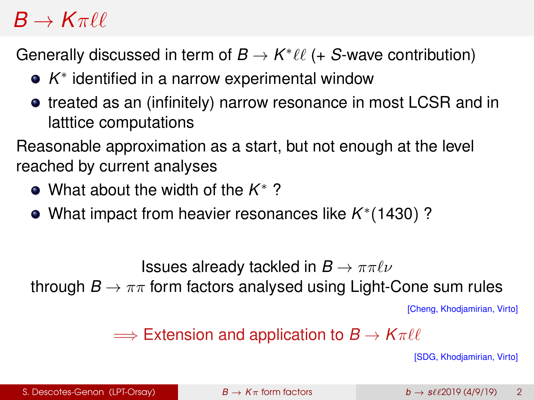## $B \to K\pi\ell\ell$

Generally discussed in term of  $B \to K^* \ell \ell$  (+ *S*-wave contribution)

- *K* ∗ identified in a narrow experimental window
- **•** treated as an (infinitely) narrow resonance in most LCSR and in latttice computations

Reasonable approximation as a start, but not enough at the level reached by current analyses

- What about the width of the *K* <sup>∗</sup> ?
- What impact from heavier resonances like *K* ∗ (1430) ?

**Issues already tackled in**  $B \to \pi \pi \ell \nu$ 

through  $B \to \pi\pi$  form factors analysed using Light-Cone sum rules

[Cheng, Khodjamirian, Virto]

 $\implies$  Extension and application to  $B \to K\pi\ell\ell$ 

[SDG, Khodjamirian, Virto]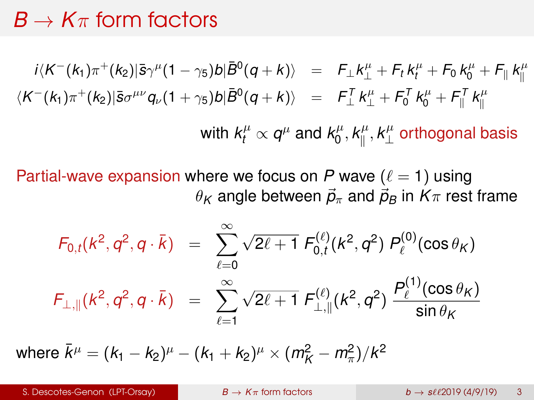#### $B \to K\pi$  form factors

$$
i\langle K^{-}(k_{1})\pi^{+}(k_{2})|\bar{s}\gamma^{\mu}(1-\gamma_{5})b|\bar{B}^{0}(q+k)\rangle = F_{\perp}k^{\mu}_{\perp} + F_{t}k^{\mu}_{t} + F_{0}k^{\mu}_{0} + F_{\parallel}k^{\mu}_{\parallel}
$$
  

$$
\langle K^{-}(k_{1})\pi^{+}(k_{2})|\bar{s}\sigma^{\mu\nu}q_{\nu}(1+\gamma_{5})b|\bar{B}^{0}(q+k)\rangle = F_{\perp}^{T}k^{\mu}_{\perp} + F_{0}^{T}k^{\mu}_{0} + F_{\parallel}^{T}k^{\mu}_{\parallel}
$$
  
with  $k^{\mu}_{t} \propto q^{\mu}$  and  $k^{\mu}_{0}, k^{\mu}_{\parallel}, k^{\mu}_{\perp}$  orthogonal basis

Partial-wave expansion where we focus on *P* wave  $(\ell = 1)$  using  $\theta_K$  angle between  $\vec{p}_{\pi}$  and  $\vec{p}_B$  in  $K_{\pi}$  rest frame

$$
F_{0,t}(k^2, q^2, q \cdot \bar{k}) = \sum_{\ell=0}^{\infty} \sqrt{2\ell+1} F_{0,t}^{(\ell)}(k^2, q^2) P_{\ell}^{(0)}(\cos \theta_K)
$$
  

$$
F_{\perp, \parallel}(k^2, q^2, q \cdot \bar{k}) = \sum_{\ell=1}^{\infty} \sqrt{2\ell+1} F_{\perp, \parallel}^{(\ell)}(k^2, q^2) \frac{P_{\ell}^{(1)}(\cos \theta_K)}{\sin \theta_K}
$$

where  $\bar{k}^{\mu} = (k_1 - k_2)^{\mu} - (k_1 + k_2)^{\mu} \times (m_K^2 - m_{\pi}^2)/k^2$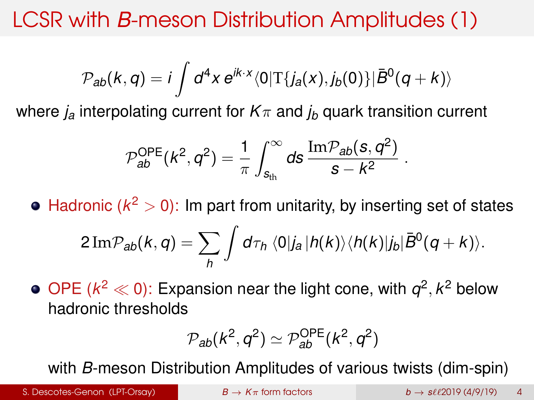$$
\mathcal{P}_{ab}(k,q) = i \int d^4x \, e^{ik \cdot x} \langle 0| \text{T} \{j_a(x), j_b(0)\} | \bar{B}^0(q+k) \rangle
$$

where  $j_a$  interpolating current for  $K_{\pi}$  and  $j_b$  quark transition current

$$
\mathcal{P}_{ab}^{OPE}(k^2, q^2) = \frac{1}{\pi} \int_{s_{th}}^{\infty} ds \, \frac{\text{Im} \mathcal{P}_{ab}(s, q^2)}{s - k^2}
$$

Hadronic ( $k^2 > 0$ ): Im part from unitarity, by inserting set of states

$$
2 \operatorname{Im} \mathcal{P}_{ab}(k,q) = \sum_{h} \int d\tau_h \, \langle 0 | j_a | h(k) \rangle \langle h(k) | j_b | \bar{B}^0(q+k) \rangle.
$$

OPE ( $k^2 \ll 0$ ): Expansion near the light cone, with  $q^2, k^2$  below hadronic thresholds

$$
\mathcal{P}_{ab}(\mathit{k}^2,\mathit{q}^2)\simeq\mathcal{P}_{ab}^{OPE}(\mathit{k}^2,\mathit{q}^2)
$$

with *B*-meson Distribution Amplitudes of various twists (dim-spin)

S. Descotes-Genon (LPT-Orsay)  $B \to K\pi$  [form factors](#page-0-0)  $b \to s\ell\ell 2019$  (4/9/19) 4

.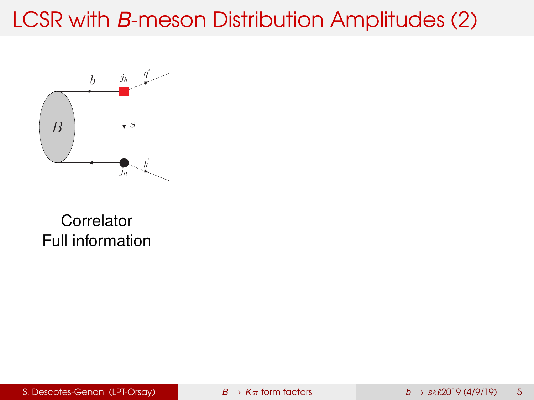

#### **Correlator** Full information

S. Descotes-Genon (LPT-Orsay) **B**  $\rightarrow$  *K* $\pi$  [form factors](#page-0-0)  $b \rightarrow s\ell\ell 2019$  (4/9/19) 5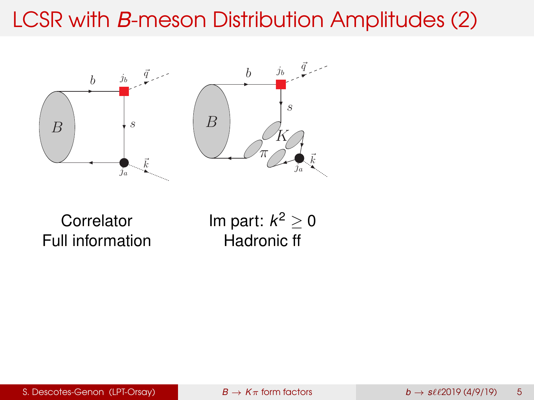

**Correlator** Full information Im part: *k* <sup>2</sup> ≥ 0 Hadronic ff

S. Descotes-Genon (LPT-Orsay)  $B \to K\pi$  [form factors](#page-0-0)  $b \to s\ell\ell 2019$  (4/9/19) 5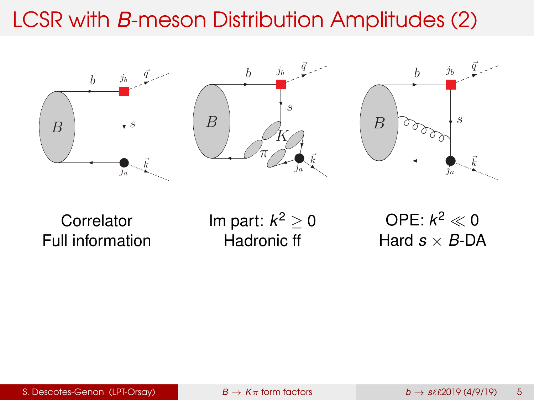

**Correlator** Full information Im part: *k* <sup>2</sup> ≥ 0 Hadronic ff

OPE:  $k^2 \ll 0$ Hard  $s \times B$ -DA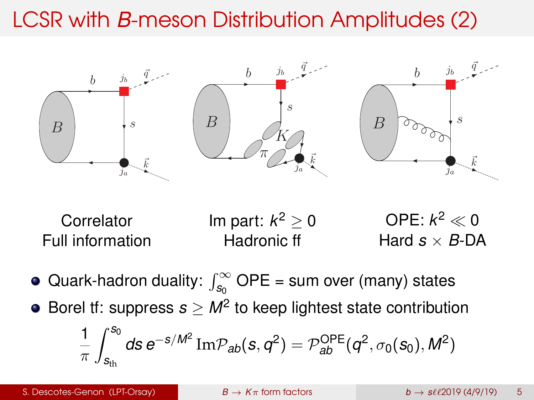



- Quark-hadron duality:  $\int_{s_0}^\infty$  OPE = sum over (many) states
- $\overline{\phantom{a}}$ Borel tf: suppress  $s \geq M^2$  to keep lightest state contribution

$$
\frac{1}{\pi}\int_{s_{th}}^{s_0}ds\,e^{-s/M^2}\,\mathrm{Im}\mathcal{P}_{ab}(s,q^2)=\mathcal{P}_{ab}^{OPE}(q^2,\sigma_0(s_0),M^2)
$$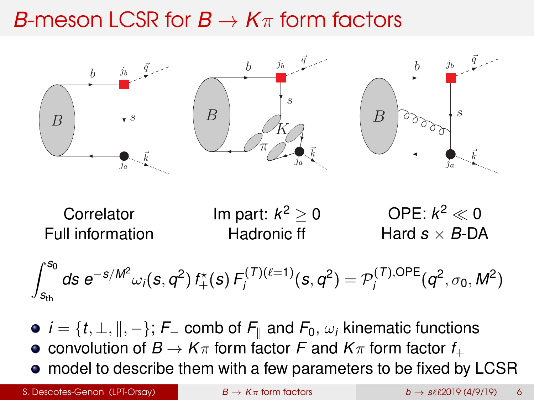## *B*-meson LCSR for  $B \to K\pi$  form factors



**Correlator** Full information Im part: *k* <sup>2</sup> ≥ 0 Hadronic ff OPE:  $k^2 \ll 0$ Hard  $s \times B$ -DA

 $\int_{0}^{S_0} ds \approx -S/M^2$ *s*th *ds*  $e^{-s/M^2}$  ω<sub>*i*</sub>( $s$ ,  $q^2$ )  $f^*_{+}(s)$   $F^{(T)(\ell=1)}$  $\mathcal{P}_i^{(T)(\ell=1)}(s,q^2) = \mathcal{P}_i^{(T),\text{OPE}}$  $q_i^{(1),\text{OPE}}(q^2, \sigma_0, M^2)$ 

- $\mathcal{F} = \{t, \perp, \parallel, -\};$   $\mathcal{F}_-$  comb of  $\mathcal{F}_\parallel$  and  $\mathcal{F}_0$ ,  $\omega_i$  kinematic functions
- $\lim_{n \to \infty}$   $\lim_{n \to \infty}$   $\lim_{n \to \infty}$   $\lim_{n \to \infty}$   $\lim_{n \to \infty}$   $\lim_{n \to \infty}$   $\lim_{n \to \infty}$   $\lim_{n \to \infty}$
- model to describe them with a few parameters to be fixed by LCSR

S. Descotes-Genon (LPT-Orsay)  $B \to K\pi$  [form factors](#page-0-0)  $b \to s\ell\ell 2019$  (4/9/19) 6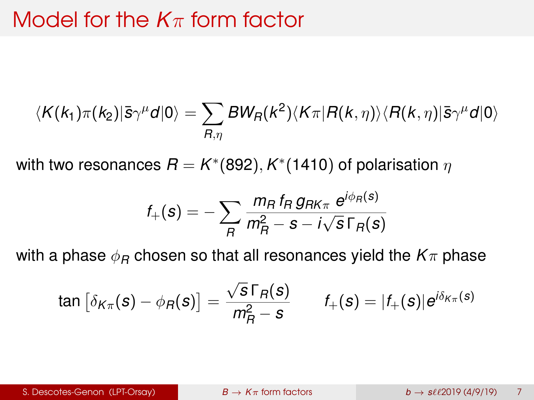## Model for the *K*π form factor

$$
\langle K(k_1)\pi(k_2)|\bar{s}\gamma^{\mu}\mathcal{d}|0\rangle = \sum_{R,\eta}BW_R(k^2)\langle K\pi|R(k,\eta)\rangle\langle R(k,\eta)|\bar{s}\gamma^{\mu}\mathcal{d}|0\rangle
$$

with two resonances  $\bar{R} = K^*(892), K^*(1410)$  of polarisation  $\eta$ 

$$
f_{+}(\boldsymbol{s})=-\sum_{\boldsymbol{R}}\frac{m_{\boldsymbol{R}}\,f_{\boldsymbol{R}}\,g_{\boldsymbol{R}\boldsymbol{K}_{\boldsymbol{\pi}}}\,\boldsymbol{e}^{i\phi_{\boldsymbol{R}}(\boldsymbol{s})}}{m_{\boldsymbol{R}}^{2}-\boldsymbol{s}-i\sqrt{\boldsymbol{s}\,\Gamma_{\boldsymbol{R}}(\boldsymbol{s})}}
$$

with a phase  $\phi_B$  chosen so that all resonances yield the  $K_{\pi}$  phase

$$
\tan\left[\delta_{K\pi}(\bm{s})-\phi_R(\bm{s})\right]=\frac{\sqrt{\bm{s}}\,\Gamma_R(\bm{s})}{m_R^2-\bm{s}}\qquad \ \ f_+(\bm{s})=|f_+(\bm{s})|e^{i\delta_{K\pi}(\bm{s})}
$$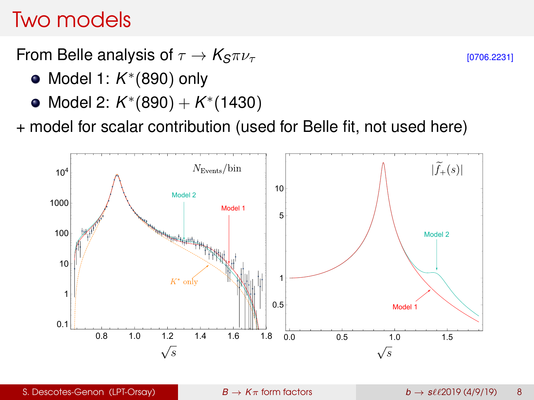### Two models

From Belle analysis of  $\tau \to K_S \pi \nu_\tau$  [0706.2231]

- Model 1: *K* ∗ (890) only
- Model 2: *K* ∗ (890) + *K* ∗ (1430)

+ model for scalar contribution (used for Belle fit, not used here)

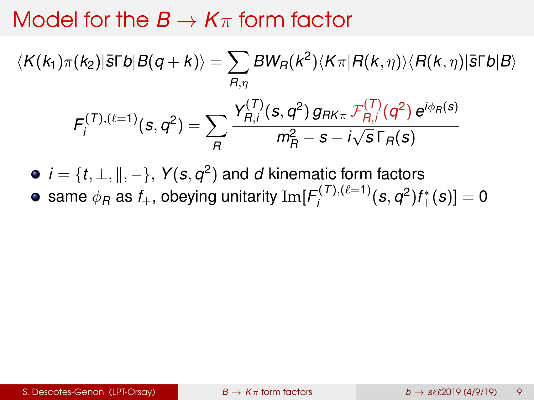### Model for the  $B \to K\pi$  form factor

 $\langle K(k_1)\pi(k_2)|$ اً  $\bar{s}\Gamma b|B(q+k)\rangle = \sum BW_R(k^2)\langle K\pi|R(k,\eta)\rangle\langle R(k,\eta)|$   $\bar{s}\Gamma b|B\rangle$ *R*,η  $F_i^{(T),(\ell=1)}$  $\sum_{i}^{(1),(\ell=1)}(s,q^2)=\sum$ *R*  $Y_{B,i}^{(T)}$  $G_{R,i}^{(T)}(s,q^2)g_{RK\pi}\mathcal{F}_{R,i}^{(T)}$ *R*,*i* (*q* 2 ) *e i*φ*R*(*s*) *m*<sup>2</sup> *<sup>R</sup>* − *s* − *i* √ *s* Γ*R*(*s*)

 $\vec{a} = \{t, \bot, \|, -\},\; \mathsf{Y}(\mathit{s}, \mathit{q}^{\mathit{2}})$  and  $\mathit{d}$  kinematic form factors same  $\phi_B$  as  $f_+$ , obeying unitarity  ${\rm Im} [F_i^{(T),(\ell=1)}]$  $\int_{i}^{(1),(l=1)}(s,q^2)f_+^*(s)]=0$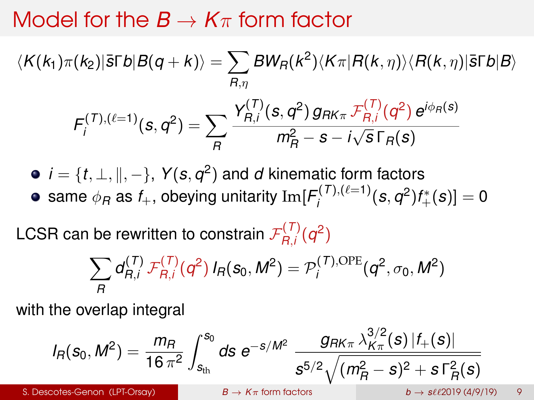## Model for the  $B \to K\pi$  form factor

$$
\langle K(k_1)\pi(k_2)|\bar{s}\Gamma b|B(q+k)\rangle = \sum_{R,\eta}BW_R(k^2)\langle K\pi|R(k,\eta)\rangle\langle R(k,\eta)|\bar{s}\Gamma b|B\rangle
$$
  

$$
F_j^{(T),(l=1)}(s,q^2) = \sum_R \frac{Y_{R,j}^{(T)}(s,q^2)g_{RK\pi}F_{R,j}^{(T)}(q^2)e^{i\phi_R(s)}}{m_R^2 - s - i\sqrt{s}\Gamma_R(s)}
$$

 $\vec{a} = \{t, \bot, \|, -\},\; \mathsf{Y}(\mathit{s}, \mathit{q}^{\mathit{2}})$  and  $\mathit{d}$  kinematic form factors same  $\phi_B$  as  $f_+$ , obeying unitarity  ${\rm Im} [F_i^{(T),(\ell=1)}]$  $\int_{i}^{(1),(l=1)}(s,q^2)f_+^*(s)]=0$ 

LCSR can be rewritten to constrain  $\mathcal{F}_{R,i}^{(T)}$  $R_{R,i}^{(1)}(q^2)$ 

$$
\sum_{R} d_{R,i}^{(T)} \mathcal{F}_{R,i}^{(T)}(q^2) I_R(s_0, M^2) = \mathcal{P}_i^{(T),\text{OPE}}(q^2, \sigma_0, M^2)
$$

with the overlap integral

$$
I_R(s_0, M^2) = \frac{m_R}{16 \pi^2} \int_{s_{\text{th}}}^{s_0} ds \ e^{-s/M^2} \ \frac{g_{RK\pi} \lambda_{K\pi}^{3/2}(s) \, |f_+(s)|}{s^{5/2} \sqrt{(m_R^2 - s)^2 + s \Gamma_R^2(s)}}
$$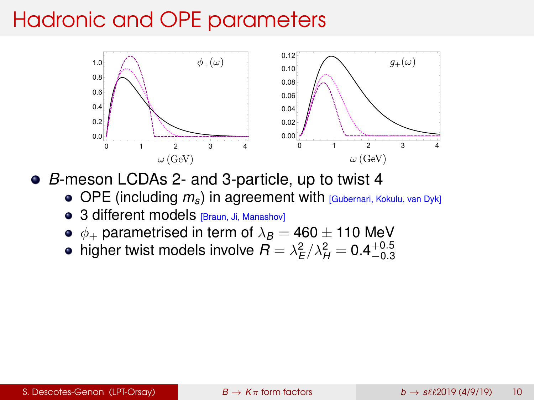# Hadronic and OPE parameters



*B*-meson LCDAs 2- and 3-particle, up to twist 4

- OPE (including  $m<sub>s</sub>$ ) in agreement with *[Gubernari, Kokulu, van Dyk]*
- 3 different models [Braun, Ji, Manashov]
- $\phi_+$  parametrised in term of  $\lambda_B = 460 \pm 110$  MeV
- higher twist models involve  $R=\lambda_E^2/\lambda_H^2=0.4^{+0.5}_{-0.3}$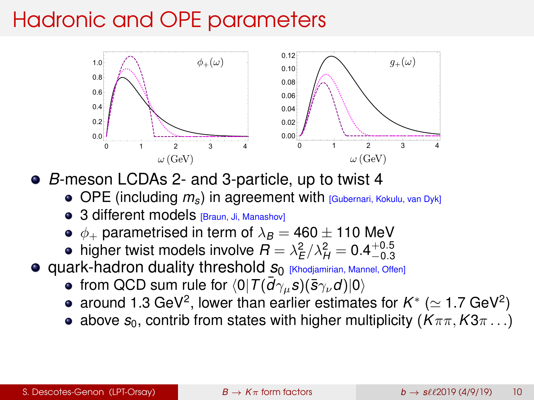# Hadronic and OPE parameters



*B*-meson LCDAs 2- and 3-particle, up to twist 4

- OPE (including  $m_s$ ) in agreement with [Gubernari, Kokulu, van Dyk]
- 3 different models [Braun, Ji, Manashov]
- $\bullet$   $\phi_+$  parametrised in term of  $\lambda_B = 460 \pm 110$  MeV
- higher twist models involve  $R = \lambda_E^2/\lambda_H^2 = 0.4^{+0.5}_{-0.3}$
- **Quark-hadron duality threshold**  $S_0$  **[Khodjamirian, Mannel, Offen]** 
	- from QCD sum rule for  $\langle 0| \, T(\bar{d}\gamma_\mu s)(\bar{s}\gamma_\nu d)|0\rangle$
	- around 1.3 GeV<sup>2</sup>, lower than earlier estimates for  $K^* \ (\simeq$  1.7 GeV<sup>2</sup>)
	- above  $s_0$ , contrib from states with higher multiplicity ( $K\pi\pi$ ,  $K3\pi$ ...)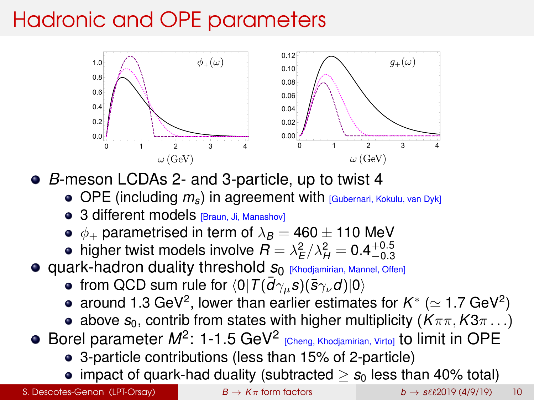# Hadronic and OPE parameters



*B*-meson LCDAs 2- and 3-particle, up to twist 4

- OPE (including  $m<sub>s</sub>$ ) in agreement with *[Gubernari, Kokulu, van Dyk]*
- 3 different models [Braun, Ji, Manashov]
- $\bullet$   $\phi_+$  parametrised in term of  $\lambda_B = 460 \pm 110$  MeV
- higher twist models involve  $R = \lambda_E^2/\lambda_H^2 = 0.4^{+0.5}_{-0.3}$
- **Quark-hadron duality threshold**  $S_0$  **[Khodjamirian, Mannel, Offen]** 
	- from QCD sum rule for  $\langle 0| \, T(\bar{d}\gamma_\mu s)(\bar{s}\gamma_\nu d)|0\rangle$
	- around 1.3 GeV<sup>2</sup>, lower than earlier estimates for  $K^* \ (\simeq$  1.7 GeV<sup>2</sup>)
	- above  $s_0$ , contrib from states with higher multiplicity ( $K\pi\pi$ ,  $K3\pi$ ...)
- Borel parameter *M*<sup>2</sup>: 1-1.5 GeV<sup>2</sup> [Cheng, Khodjamirian, Virto] to limit in OPE
	- 3-particle contributions (less than 15% of 2-particle)
	- impact of quark-had duality (subtracted  $> s_0$  less than 40% total)

S. Descotes-Genon (LPT-Orsay)  $B \to K\pi$  [form factors](#page-0-0)  $b \to s\ell\ell$ 2019 (4/9/19) 10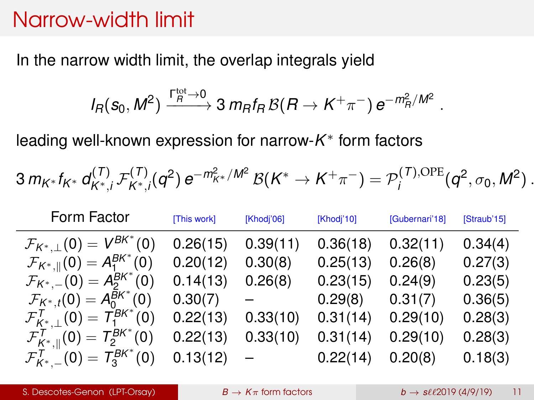#### Narrow-width limit

In the narrow width limit, the overlap integrals yield

$$
I_R(s_0, M^2) \xrightarrow{\Gamma_R^{\text{tot}} \to 0} 3 \, m_R f_R \, \mathcal{B}(R \to K^+ \pi^-) \, e^{-m_R^2/M^2}
$$

leading well-known expression for narrow-*K* ∗ form factors

$$
3\, m_{K^*} f_{K^*} \, d_{K^*, i}^{(T)} \, \mathcal{F}_{K^*, i}^{(T)}(q^2) \, e^{-m_{K^*}^2/M^2} \, \mathcal{B}(K^* \to K^+ \pi^-) = \mathcal{P}_i^{(T), \text{OPE}}(q^2, \sigma_0, M^2) \, .
$$

| Form Factor                                                  | [This work]  | [Khodj'06]               | [Khodj'10] | [Gubernari'18] | [Straub'15] |
|--------------------------------------------------------------|--------------|--------------------------|------------|----------------|-------------|
| $\mathcal{F}_{K^*,\perp}(0) = V^{BK^*}(0)$                   | 0.26(15)     | 0.39(11)                 | 0.36(18)   | 0.32(11)       | 0.34(4)     |
| $\mathcal{F}_{K^*,\parallel}(0) = A_1^{BK^*}(0)$             | 0.20(12)     | 0.30(8)                  | 0.25(13)   | 0.26(8)        | 0.27(3)     |
| $\mathcal{F}_{K^*,-}(0) = A_2^{BK^*}(0)$                     | 0.14(13)     | 0.26(8)                  | 0.23(15)   | 0.24(9)        | 0.23(5)     |
| $\mathcal{F}_{K^*,t}(0) = A_0^{BK^*}(0)$                     | 0.30(7)      | $\overline{\phantom{a}}$ | 0.29(8)    | 0.31(7)        | 0.36(5)     |
| $\mathcal{F}_{K^*}^{\mathcal{T}}(0)=T_1^{BK^*}(0)$           | 0.22(13)     | 0.33(10)                 | 0.31(14)   | 0.29(10)       | 0.28(3)     |
| $\mathcal{F}_{K^*,\parallel}^{\mathcal{T}}(0)=T_2^{BK^*}(0)$ | 0.22(13)     | 0.33(10)                 | 0.31(14)   | 0.29(10)       | 0.28(3)     |
| $\mathcal{F}_{K^*}^1(0)=T_3^{BK^*}(0)$                       | $0.13(12) -$ |                          | 0.22(14)   | 0.20(8)        | 0.18(3)     |

.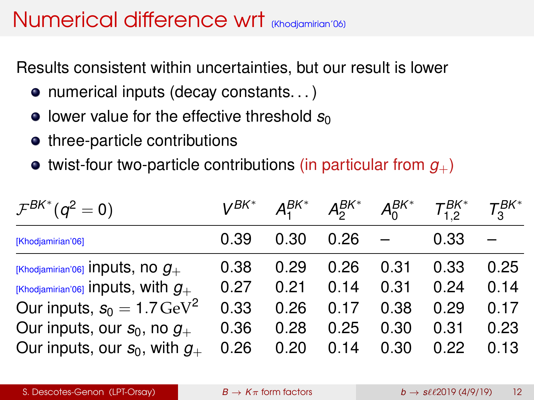## Numerical difference wrt *Khodiamirian*<sup>106</sup>

Results consistent within uncertainties, but our result is lower

- numerical inputs (decay constants...)
- **•** lower value for the effective threshold  $s<sub>0</sub>$
- three-particle contributions
- $\bullet$  twist-four two-particle contributions (in particular from  $g_{+}$ )

| $\mathcal{F}^{BK^*}(q^2=0)$            | $V^{BK^*}$ | $A_1^{BK^*}$ | $A_2^{BK*}$ | $A^{BK^*}_{0}$ | $T_1^{BK*}$ | $T_2^{BK*}$ |
|----------------------------------------|------------|--------------|-------------|----------------|-------------|-------------|
| [Khodjamirian'06]                      | 0.39       | 0.30         | 0.26        |                | 0.33        |             |
| [Khodjamirian'06] Inputs, no $g_+$     | 0.38       | 0.29         | 0.26        | 0.31           | 0.33        | 0.25        |
| [Khodjamirian'06] inputs, with $q_+$   | 0.27       | 0.21         | 0.14        | 0.31           | 0.24        | 0.14        |
| Our inputs, $s_0 = 1.7 \,\text{GeV}^2$ | 0.33       | 0.26         | 0.17        | 0.38           | 0.29        | 0.17        |
| Our inputs, our $s_0$ , no $g_+$       | 0.36       | 0.28         | 0.25        | 0.30           | 0.31        | 0.23        |
| Our inputs, our $s_0$ , with $g_+$     | 0.26       | 0.20         | 0.14        | 0.30           | 0.22        | 0.13        |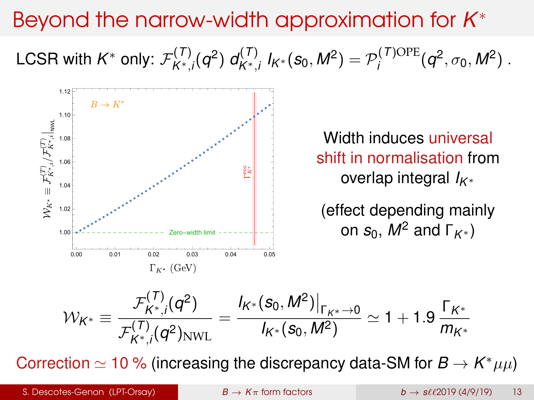# Beyond the narrow-width approximation for *K* ∗

LCSR with  $\mathsf{K}^*$  only:  $\mathcal{F}^{(\mathcal{T})}_{\mathsf{K}^*}$ *K*∗,*i* (*q* 2 ) *d* (*T*)  $J_{K^*,i}^{(T)}$   $I_{K^*}$  $(s_0, M^2) = \mathcal{P}_i^{(T) \text{OPE}}$  $q_i^{(1)\text{OPE}}(q^2, \sigma_0, M^2)$ .



$$
\mathcal{W}_{K^*} \equiv \frac{\mathcal{F}_{K^*,i}^{(T)}(q^2)}{\mathcal{F}_{K^*,i}^{(T)}(q^2)_{\text{NWL}}} = \frac{I_{K^*}(s_0, M^2)|_{\Gamma_{K^*} \to 0}}{I_{K^*}(s_0, M^2)} \simeq 1 + 1.9 \frac{\Gamma_{K^*}}{m_{K^*}}
$$

Correction  $\simeq$  10 % (increasing the discrepancy data-SM for  $B \to K^* \mu \mu$ )

S. Descotes-Genon (LPT-Orsay)  $B \to K\pi$  [form factors](#page-0-0)  $b \to s\ell\ell$ 2019 (4/9/19) 13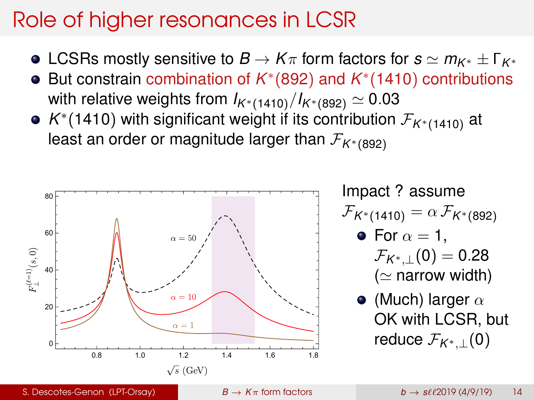# Role of higher resonances in LCSR

- **•** LCSRs mostly sensitive to  $B \to K\pi$  form factors for  $s \simeq m_{K^*} \pm \Gamma_{K^*}$
- But constrain combination of *K*<sup>∗</sup>(892) and *K*<sup>∗</sup>(1410) contributions with relative weights from  $I_{K^*(1410)}/I_{K^*(892)} \simeq 0.03$
- *K* ∗ (1410) with significant weight if its contribution F*K*∗(1410) at least an order or magnitude larger than  $\mathcal{F}_{K^*(892)}$



Impact ? assume  $\mathcal{F}_{K^*(1410)} = \alpha \, \mathcal{F}_{K^*(892)}$ 

• For 
$$
\alpha = 1
$$
,  
\n
$$
\mathcal{F}_{K^*,\perp}(0) = 0.28
$$
\n
$$
(\simeq \text{narrow width})
$$

• (Much) larger  $\alpha$ OK with LCSR, but reduce  $\mathcal{F}_{K^*+1}(0)$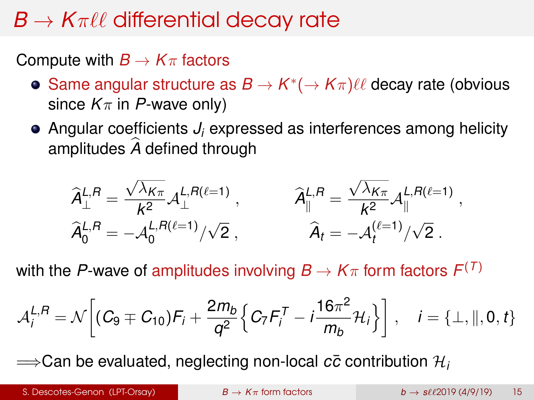# $B \to K \pi \ell \ell$  differential decay rate

Compute with  $B \to K\pi$  factors

- Same angular structure as  $B \to K^*(\to K\pi) \ell\ell$  decay rate (obvious since  $K_{\pi}$  in *P*-wave only)
- Angular coefficients *J<sup>i</sup>* expressed as interferences among helicity amplitudes A defined through

$$
\widehat{A}_{\perp}^{L,R} = \frac{\sqrt{\lambda_{K\pi}}}{k^2} A_{\perp}^{L,R(\ell=1)}, \qquad \widehat{A}_{\parallel}^{L,R} = \frac{\sqrt{\lambda_{K\pi}}}{k^2} A_{\parallel}^{L,R(\ell=1)},
$$
  

$$
\widehat{A}_{0}^{L,R} = -A_{0}^{L,R(\ell=1)}/\sqrt{2}, \qquad \widehat{A}_{t} = -A_{t}^{(\ell=1)}/\sqrt{2}.
$$

with the *P*-wave of amplitudes involving  $B\to K\pi$  form factors  $F^{(T)}$ 

$$
\mathcal{A}_{i}^{L,R} = \mathcal{N}\bigg[ (C_9 \mp C_{10}) F_i + \frac{2m_b}{q^2} \Big\{ C_7 F_i^T - i \frac{16\pi^2}{m_b} \mathcal{H}_i \Big\} \bigg], \quad i = \{\perp, \|, 0, t\}
$$

 $\implies$  Can be evaluated, neglecting non-local *c*<sub> $\bar{c}$ </sub> contribution  $\mathcal{H}_i$ 

S. Descotes-Genon (LPT-Orsay)  $B \to K\pi$  [form factors](#page-0-0)  $b \to s\ell\ell$ 2019 (4/9/19) 15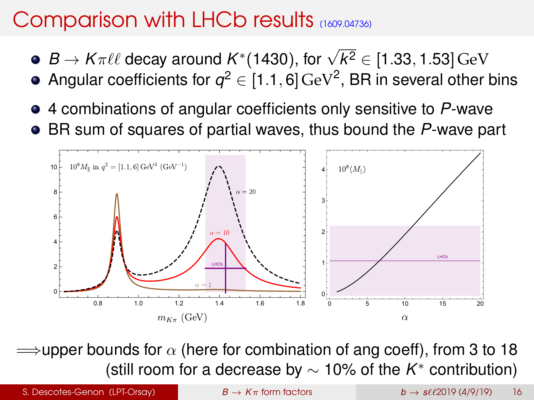## Comparison with LHCb results  $(1609.04736)$

- $\bar{B}\to K\pi\ell\ell$  decay around  $K^*(1430)$ , for  $\sqrt{ k^2} \in [1.33,1.53]\,\rm{GeV}$
- Angular coefficients for  $q^2\in[1.1,6]\,\text{GeV}^2$ , BR in several other bins
- 4 combinations of angular coefficients only sensitive to *P*-wave
- BR sum of squares of partial waves, thus bound the *P*-wave part



 $\Rightarrow$ upper bounds for  $\alpha$  (here for combination of ang coeff), from 3 to 18 (still room for a decrease by ∼ 10% of the *K* <sup>∗</sup> contribution)

S. Descotes-Genon (LPT-Orsay) **B**  $\rightarrow$  *K* $\pi$  [form factors](#page-0-0) *b*  $\rightarrow$  *s* $\ell\ell$ 2019 (4/9/19) 16